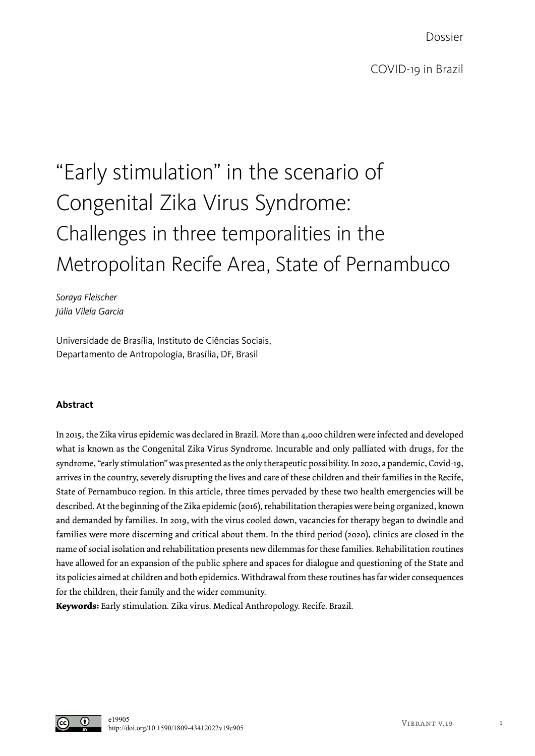Dossier

# "Early stimulation" in the scenario of Congenital Zika Virus Syndrome: Challenges in three temporalities in the Metropolitan Recife Area, State of Pernambuco

*Soraya Fleischer Júlia Vilela Garcia*

Universidade de Brasília, Instituto de Ciências Sociais, Departamento de Antropologia, Brasília, DF, Brasil

### **Abstract**

In 2015, the Zika virus epidemic was declared in Brazil. More than 4,000 children were infected and developed what is known as the Congenital Zika Virus Syndrome. Incurable and only palliated with drugs, for the syndrome, "early stimulation" was presented as the only therapeutic possibility. In 2020, a pandemic, Covid-19, arrives in the country, severely disrupting the lives and care of these children and their families in the Recife, State of Pernambuco region. In this article, three times pervaded by these two health emergencies will be described. At the beginning of the Zika epidemic (2016), rehabilitation therapies were being organized, known and demanded by families. In 2019, with the virus cooled down, vacancies for therapy began to dwindle and families were more discerning and critical about them. In the third period (2020), clinics are closed in the name of social isolation and rehabilitation presents new dilemmas for these families. Rehabilitation routines have allowed for an expansion of the public sphere and spaces for dialogue and questioning of the State and its policies aimed at children and both epidemics. Withdrawal from these routines has far wider consequences for the children, their family and the wider community.

**Keywords:** Early stimulation. Zika virus. Medical Anthropology. Recife. Brazil.

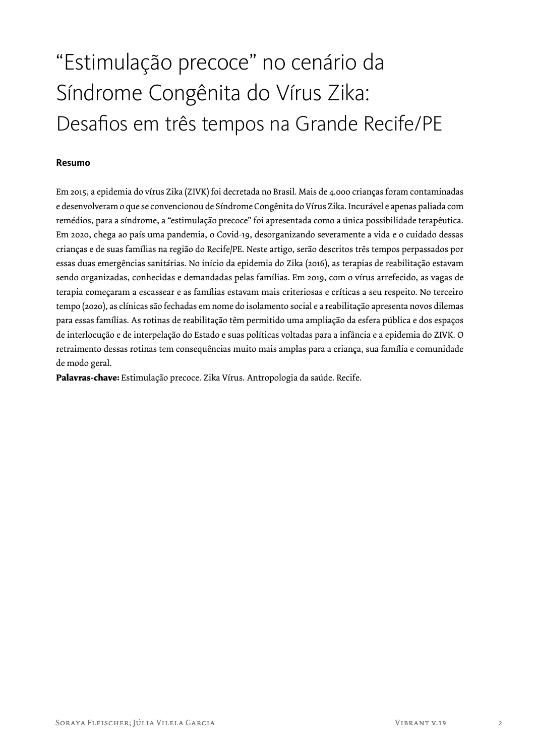## "Estimulação precoce" no cenário da Síndrome Congênita do Vírus Zika: Desafios em três tempos na Grande Recife/PE

### **Resumo**

Em 2015, a epidemia do vírus Zika (ZIVK) foi decretada no Brasil. Mais de 4.000 crianças foram contaminadas e desenvolveram o que se convencionou de Síndrome Congênita do Vírus Zika. Incurável e apenas paliada com remédios, para a síndrome, a "estimulação precoce" foi apresentada como a única possibilidade terapêutica. Em 2020, chega ao país uma pandemia, o Covid-19, desorganizando severamente a vida e o cuidado dessas crianças e de suas famílias na região do Recife/PE. Neste artigo, serão descritos três tempos perpassados por essas duas emergências sanitárias. No início da epidemia do Zika (2016), as terapias de reabilitação estavam sendo organizadas, conhecidas e demandadas pelas famílias. Em 2019, com o vírus arrefecido, as vagas de terapia começaram a escassear e as famílias estavam mais criteriosas e críticas a seu respeito. No terceiro tempo (2020), as clínicas são fechadas em nome do isolamento social e a reabilitação apresenta novos dilemas para essas famílias. As rotinas de reabilitação têm permitido uma ampliação da esfera pública e dos espaços de interlocução e de interpelação do Estado e suas políticas voltadas para a infância e a epidemia do ZIVK. O retraimento dessas rotinas tem consequências muito mais amplas para a criança, sua família e comunidade de modo geral.

**Palavras-chave:** Estimulação precoce. Zika Vírus. Antropologia da saúde. Recife.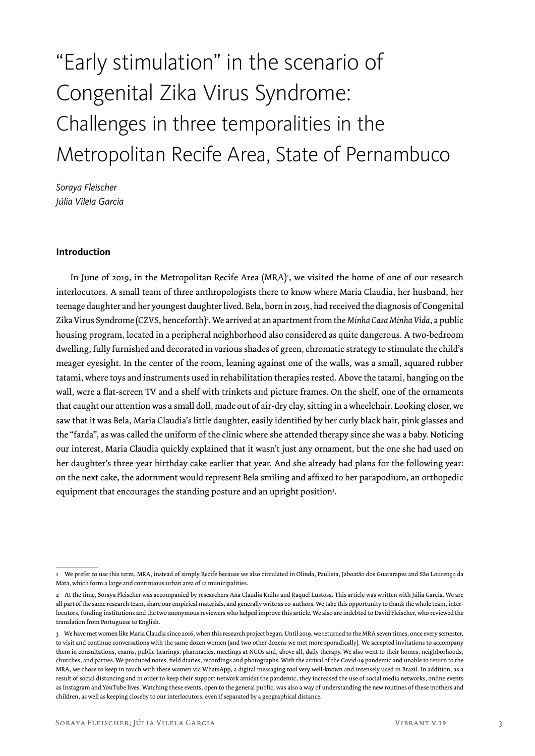## "Early stimulation" in the scenario of Congenital Zika Virus Syndrome: Challenges in three temporalities in the Metropolitan Recife Area, State of Pernambuco

*Soraya Fleischer Júlia Vilela Garcia*

#### **Introduction**

In June of 2019, in the Metropolitan Recife Area (MRA)<sup>1</sup>, we visited the home of one of our research interlocutors. A small team of three anthropologists there to know where Maria Claudia, her husband, her teenage daughter and her youngest daughter lived. Bela, born in 2015, had received the diagnosis of Congenital Zika Virus Syndrome (CZVS, henceforth)<sup>2</sup>. We arrived at an apartment from the *Minha Casa Minha Vida*, a public housing program, located in a peripheral neighborhood also considered as quite dangerous. A two-bedroom dwelling, fully furnished and decorated in various shades of green, chromatic strategy to stimulate the child's meager eyesight. In the center of the room, leaning against one of the walls, was a small, squared rubber tatami, where toys and instruments used in rehabilitation therapies rested. Above the tatami, hanging on the wall, were a flat-screen TV and a shelf with trinkets and picture frames. On the shelf, one of the ornaments that caught our attention was a small doll, made out of air-dry clay, sitting in a wheelchair. Looking closer, we saw that it was Bela, Maria Claudia's little daughter, easily identified by her curly black hair, pink glasses and the "farda", as was called the uniform of the clinic where she attended therapy since she was a baby. Noticing our interest, Maria Claudia quickly explained that it wasn't just any ornament, but the one she had used on her daughter's three-year birthday cake earlier that year. And she already had plans for the following year: on the next cake, the adornment would represent Bela smiling and affixed to her parapodium, an orthopedic equipment that encourages the standing posture and an upright position3 .

<sup>1</sup> We prefer to use this term, MRA, instead of simply Recife because we also circulated in Olinda, Paulista, Jaboatão dos Guararapes and São Lourenço da Mata, which form a large and continuous urban area of 12 municipalities.

<sup>2</sup> At the time, Soraya Fleischer was accompanied by researchers Ana Claudia Knihs and Raquel Lustosa. This article was written with Júlia Garcia. We are all part of the same research team, share our empirical materials, and generally write as co-authors. We take this opportunity to thank the whole team, interlocutors, funding institutions and the two anonymous reviewers who helped improve this article. We also are indebted to David Fleischer, who reviewed the translation from Portuguese to English.

<sup>3</sup> We have met women like Maria Claudia since 2016, when this research project began. Until 2019, we returned to the MRA seven times, once every semester, to visit and continue conversations with the same dozen women (and two other dozens we met more sporadically). We accepted invitations to accompany them in consultations, exams, public hearings, pharmacies, meetings at NGOs and, above all, daily therapy. We also went to their homes, neighborhoods, churches, and parties. We produced notes, field diaries, recordings and photographs. With the arrival of the Covid-19 pandemic and unable to return to the MRA, we chose to keep in touch with these women via WhatsApp, a digital messaging tool very well-known and intensely used in Brazil. In addition, as a result of social distancing and in order to keep their support network amidst the pandemic, they increased the use of social media networks, online events as Instagram and YouTube lives. Watching these events, open to the general public, was also a way of understanding the new routines of these mothers and children, as well as keeping closeby to our interlocutors, even if separated by a geographical distance.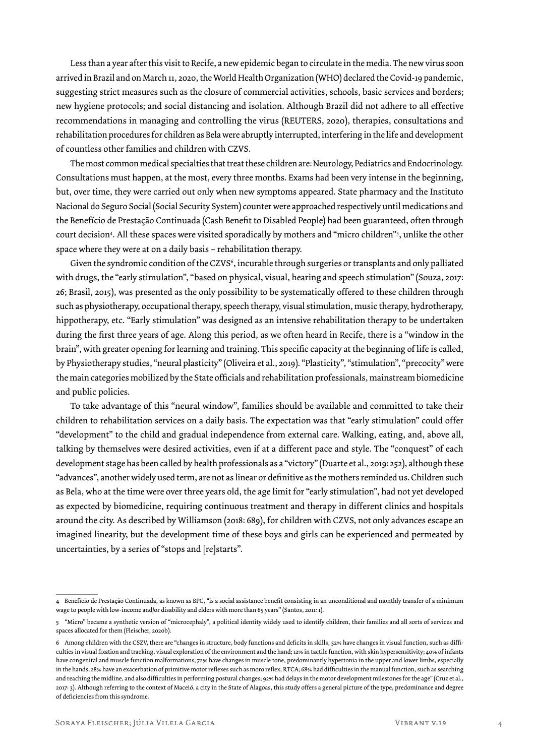Less than a year after this visit to Recife, a new epidemic began to circulate in the media. The new virus soon arrived in Brazil and on March 11, 2020, the World Health Organization (WHO) declared the Covid-19 pandemic, suggesting strict measures such as the closure of commercial activities, schools, basic services and borders; new hygiene protocols; and social distancing and isolation. Although Brazil did not adhere to all effective recommendations in managing and controlling the virus (REUTERS, 2020), therapies, consultations and rehabilitation procedures for children as Bela were abruptly interrupted, interfering in the life and development of countless other families and children with CZVS.

The most common medical specialties that treat these children are: Neurology, Pediatrics and Endocrinology. Consultations must happen, at the most, every three months. Exams had been very intense in the beginning, but, over time, they were carried out only when new symptoms appeared. State pharmacy and the Instituto Nacional do Seguro Social (Social Security System) counter were approached respectively until medications and the Benefício de Prestação Continuada (Cash Benefit to Disabled People) had been guaranteed, often through court decision4 . All these spaces were visited sporadically by mothers and "micro children"5 , unlike the other space where they were at on a daily basis – rehabilitation therapy.

Given the syndromic condition of the CZVS<sup>6</sup>, incurable through surgeries or transplants and only palliated with drugs, the "early stimulation", "based on physical, visual, hearing and speech stimulation" (Souza, 2017: 26; Brasil, 2015), was presented as the only possibility to be systematically offered to these children through such as physiotherapy, occupational therapy, speech therapy, visual stimulation, music therapy, hydrotherapy, hippotherapy, etc. "Early stimulation" was designed as an intensive rehabilitation therapy to be undertaken during the first three years of age. Along this period, as we often heard in Recife, there is a "window in the brain", with greater opening for learning and training. This specific capacity at the beginning of life is called, by Physiotherapy studies, "neural plasticity" (Oliveira et al., 2019). "Plasticity", "stimulation", "precocity" were the main categories mobilized by the State officials and rehabilitation professionals, mainstream biomedicine and public policies.

To take advantage of this "neural window", families should be available and committed to take their children to rehabilitation services on a daily basis. The expectation was that "early stimulation" could offer "development" to the child and gradual independence from external care. Walking, eating, and, above all, talking by themselves were desired activities, even if at a different pace and style. The "conquest" of each development stage has been called by health professionals as a "victory" (Duarte et al., 2019: 252), although these "advances", another widely used term, are not as linear or definitive as the mothers reminded us. Children such as Bela, who at the time were over three years old, the age limit for "early stimulation", had not yet developed as expected by biomedicine, requiring continuous treatment and therapy in different clinics and hospitals around the city. As described by Williamson (2018: 689), for children with CZVS, not only advances escape an imagined linearity, but the development time of these boys and girls can be experienced and permeated by uncertainties, by a series of "stops and [re]starts".

<sup>4</sup> Benefício de Prestação Continuada, as known as BPC, "is a social assistance benefit consisting in an unconditional and monthly transfer of a minimum wage to people with low-income and/or disability and elders with more than 65 years" (Santos, 2011: 1).

<sup>5 &</sup>quot;Micro" became a synthetic version of "microcephaly", a political identity widely used to identify children, their families and all sorts of services and spaces allocated for them (Fleischer, 2020b).

<sup>6</sup> Among children with the CSZV, there are "changes in structure, body functions and deficits in skills, 52% have changes in visual function, such as difficulties in visual fixation and tracking, visual exploration of the environment and the hand; 12% in tactile function, with skin hypersensitivity; 40% of infants have congenital and muscle function malformations; 72% have changes in muscle tone, predominantly hypertonia in the upper and lower limbs, especially in the hands; 28% have an exacerbation of primitive motor reflexes such as moro reflex, RTCA; 68% had difficulties in the manual function, such as searching and reaching the midline, and also difficulties in performing postural changes; 92% had delays in the motor development milestones for the age" (Cruz et al., 2017: 3). Although referring to the context of Maceió, a city in the State of Alagoas, this study offers a general picture of the type, predominance and degree of deficiencies from this syndrome.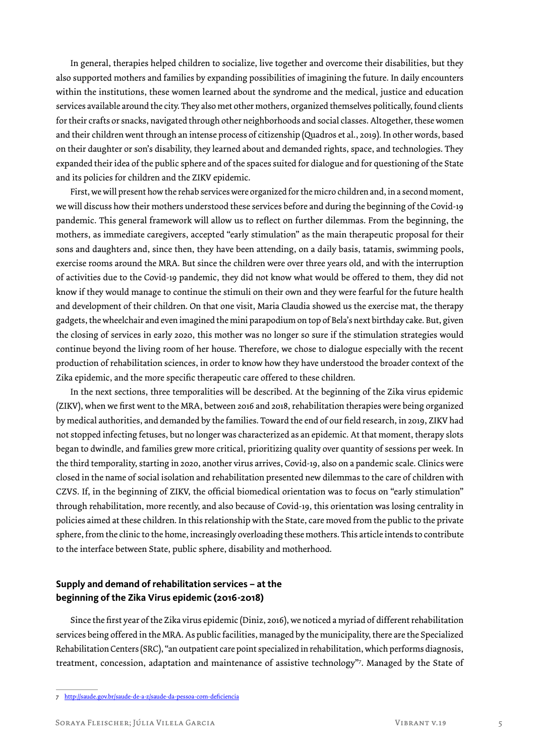In general, therapies helped children to socialize, live together and overcome their disabilities, but they also supported mothers and families by expanding possibilities of imagining the future. In daily encounters within the institutions, these women learned about the syndrome and the medical, justice and education services available around the city. They also met other mothers, organized themselves politically, found clients for their crafts or snacks, navigated through other neighborhoods and social classes. Altogether, these women and their children went through an intense process of citizenship (Quadros et al., 2019). In other words, based on their daughter or son's disability, they learned about and demanded rights, space, and technologies. They expanded their idea of the public sphere and of the spaces suited for dialogue and for questioning of the State and its policies for children and the ZIKV epidemic.

First, we will present how the rehab services were organized for the micro children and, in a second moment, we will discuss how their mothers understood these services before and during the beginning of the Covid-19 pandemic. This general framework will allow us to reflect on further dilemmas. From the beginning, the mothers, as immediate caregivers, accepted "early stimulation" as the main therapeutic proposal for their sons and daughters and, since then, they have been attending, on a daily basis, tatamis, swimming pools, exercise rooms around the MRA. But since the children were over three years old, and with the interruption of activities due to the Covid-19 pandemic, they did not know what would be offered to them, they did not know if they would manage to continue the stimuli on their own and they were fearful for the future health and development of their children. On that one visit, Maria Claudia showed us the exercise mat, the therapy gadgets, the wheelchair and even imagined the mini parapodium on top of Bela's next birthday cake. But, given the closing of services in early 2020, this mother was no longer so sure if the stimulation strategies would continue beyond the living room of her house. Therefore, we chose to dialogue especially with the recent production of rehabilitation sciences, in order to know how they have understood the broader context of the Zika epidemic, and the more specific therapeutic care offered to these children.

In the next sections, three temporalities will be described. At the beginning of the Zika virus epidemic (ZIKV), when we first went to the MRA, between 2016 and 2018, rehabilitation therapies were being organized by medical authorities, and demanded by the families. Toward the end of our field research, in 2019, ZIKV had not stopped infecting fetuses, but no longer was characterized as an epidemic. At that moment, therapy slots began to dwindle, and families grew more critical, prioritizing quality over quantity of sessions per week. In the third temporality, starting in 2020, another virus arrives, Covid-19, also on a pandemic scale. Clinics were closed in the name of social isolation and rehabilitation presented new dilemmas to the care of children with CZVS. If, in the beginning of ZIKV, the official biomedical orientation was to focus on "early stimulation" through rehabilitation, more recently, and also because of Covid-19, this orientation was losing centrality in policies aimed at these children. In this relationship with the State, care moved from the public to the private sphere, from the clinic to the home, increasingly overloading these mothers. This article intends to contribute to the interface between State, public sphere, disability and motherhood.

### **Supply and demand of rehabilitation services – at the beginning of the Zika Virus epidemic (2016-2018)**

Since the first year of the Zika virus epidemic (Diniz, 2016), we noticed a myriad of different rehabilitation services being offered in the MRA. As public facilities, managed by the municipality, there are the Specialized Rehabilitation Centers (SRC), "an outpatient care point specialized in rehabilitation, which performs diagnosis, treatment, concession, adaptation and maintenance of assistive technology"7 . Managed by the State of

<sup>7</sup> http://saude.gov.br/saude-de-a-z/saude-da-pessoa-com-deficiencia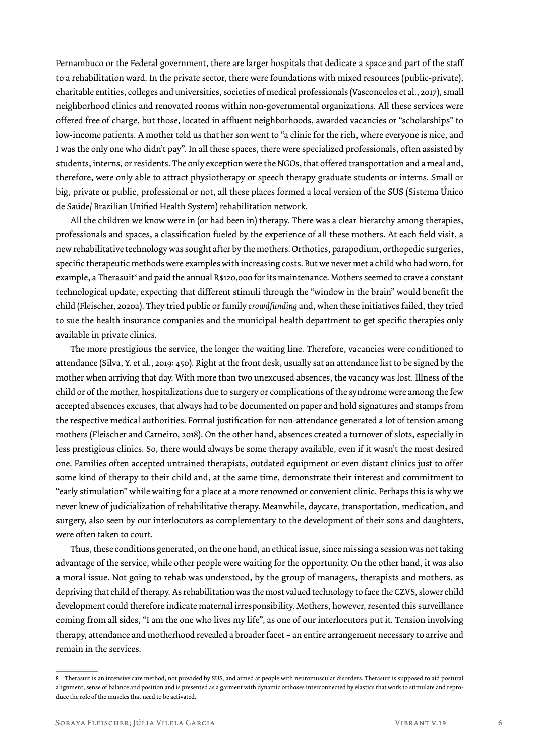Pernambuco or the Federal government, there are larger hospitals that dedicate a space and part of the staff to a rehabilitation ward. In the private sector, there were foundations with mixed resources (public-private), charitable entities, colleges and universities, societies of medical professionals (Vasconcelos et al., 2017), small neighborhood clinics and renovated rooms within non-governmental organizations. All these services were offered free of charge, but those, located in affluent neighborhoods, awarded vacancies or "scholarships" to low-income patients. A mother told us that her son went to "a clinic for the rich, where everyone is nice, and I was the only one who didn't pay". In all these spaces, there were specialized professionals, often assisted by students, interns, or residents. The only exception were the NGOs, that offered transportation and a meal and, therefore, were only able to attract physiotherapy or speech therapy graduate students or interns. Small or big, private or public, professional or not, all these places formed a local version of the SUS (Sistema Único de Saúde/ Brazilian Unified Health System) rehabilitation network.

All the children we know were in (or had been in) therapy. There was a clear hierarchy among therapies, professionals and spaces, a classification fueled by the experience of all these mothers. At each field visit, a new rehabilitative technology was sought after by the mothers. Orthotics, parapodium, orthopedic surgeries, specific therapeutic methods were examples with increasing costs. But we never met a child who had worn, for example, a Therasuit<sup>s</sup> and paid the annual R\$120,000 for its maintenance. Mothers seemed to crave a constant technological update, expecting that different stimuli through the "window in the brain" would benefit the child (Fleischer, 2020a). They tried public or family *crowdfunding* and, when these initiatives failed, they tried to sue the health insurance companies and the municipal health department to get specific therapies only available in private clinics.

The more prestigious the service, the longer the waiting line. Therefore, vacancies were conditioned to attendance (Silva, Y. et al., 2019: 450). Right at the front desk, usually sat an attendance list to be signed by the mother when arriving that day. With more than two unexcused absences, the vacancy was lost. Illness of the child or of the mother, hospitalizations due to surgery or complications of the syndrome were among the few accepted absences excuses, that always had to be documented on paper and hold signatures and stamps from the respective medical authorities. Formal justification for non-attendance generated a lot of tension among mothers (Fleischer and Carneiro, 2018). On the other hand, absences created a turnover of slots, especially in less prestigious clinics. So, there would always be some therapy available, even if it wasn't the most desired one. Families often accepted untrained therapists, outdated equipment or even distant clinics just to offer some kind of therapy to their child and, at the same time, demonstrate their interest and commitment to "early stimulation" while waiting for a place at a more renowned or convenient clinic. Perhaps this is why we never knew of judicialization of rehabilitative therapy. Meanwhile, daycare, transportation, medication, and surgery, also seen by our interlocutors as complementary to the development of their sons and daughters, were often taken to court.

Thus, these conditions generated, on the one hand, an ethical issue, since missing a session was not taking advantage of the service, while other people were waiting for the opportunity. On the other hand, it was also a moral issue. Not going to rehab was understood, by the group of managers, therapists and mothers, as depriving that child of therapy. As rehabilitation was the most valued technology to face the CZVS, slower child development could therefore indicate maternal irresponsibility. Mothers, however, resented this surveillance coming from all sides, "I am the one who lives my life", as one of our interlocutors put it. Tension involving therapy, attendance and motherhood revealed a broader facet – an entire arrangement necessary to arrive and remain in the services.

<sup>8</sup> Therasuit is an intensive care method, not provided by SUS, and aimed at people with neuromuscular disorders. Therasuit is supposed to aid postural alignment, sense of balance and position and is presented as a garment with dynamic orthoses interconnected by elastics that work to stimulate and reproduce the role of the muscles that need to be activated.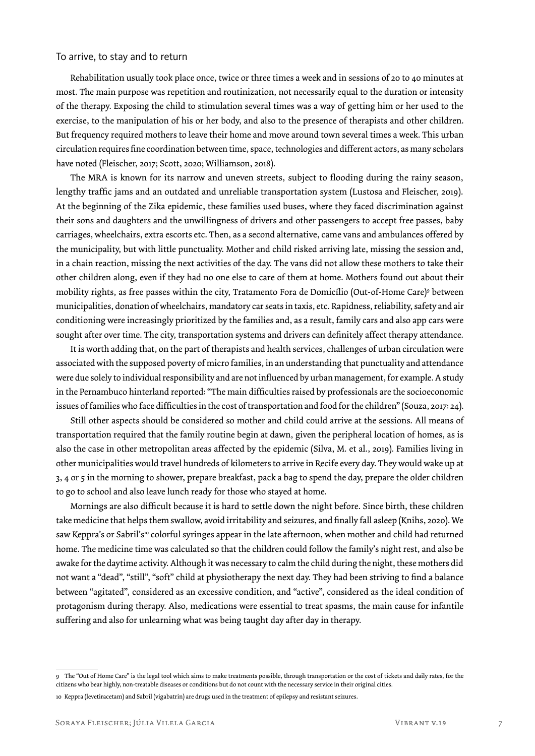#### To arrive, to stay and to return

Rehabilitation usually took place once, twice or three times a week and in sessions of 20 to 40 minutes at most. The main purpose was repetition and routinization, not necessarily equal to the duration or intensity of the therapy. Exposing the child to stimulation several times was a way of getting him or her used to the exercise, to the manipulation of his or her body, and also to the presence of therapists and other children. But frequency required mothers to leave their home and move around town several times a week. This urban circulation requires fine coordination between time, space, technologies and different actors, as many scholars have noted (Fleischer, 2017; Scott, 2020; Williamson, 2018).

The MRA is known for its narrow and uneven streets, subject to flooding during the rainy season, lengthy traffic jams and an outdated and unreliable transportation system (Lustosa and Fleischer, 2019). At the beginning of the Zika epidemic, these families used buses, where they faced discrimination against their sons and daughters and the unwillingness of drivers and other passengers to accept free passes, baby carriages, wheelchairs, extra escorts etc. Then, as a second alternative, came vans and ambulances offered by the municipality, but with little punctuality. Mother and child risked arriving late, missing the session and, in a chain reaction, missing the next activities of the day. The vans did not allow these mothers to take their other children along, even if they had no one else to care of them at home. Mothers found out about their mobility rights, as free passes within the city, Tratamento Fora de Domicílio (Out-of-Home Care)º between municipalities, donation of wheelchairs, mandatory car seats in taxis, etc. Rapidness, reliability, safety and air conditioning were increasingly prioritized by the families and, as a result, family cars and also app cars were sought after over time. The city, transportation systems and drivers can definitely affect therapy attendance.

It is worth adding that, on the part of therapists and health services, challenges of urban circulation were associated with the supposed poverty of micro families, in an understanding that punctuality and attendance were due solely to individual responsibility and are not influenced by urban management, for example. A study in the Pernambuco hinterland reported: "The main difficulties raised by professionals are the socioeconomic issues of families who face difficulties in the cost of transportation and food for the children" (Souza, 2017: 24).

Still other aspects should be considered so mother and child could arrive at the sessions. All means of transportation required that the family routine begin at dawn, given the peripheral location of homes, as is also the case in other metropolitan areas affected by the epidemic (Silva, M. et al., 2019). Families living in other municipalities would travel hundreds of kilometers to arrive in Recife every day. They would wake up at 3, 4 or 5 in the morning to shower, prepare breakfast, pack a bag to spend the day, prepare the older children to go to school and also leave lunch ready for those who stayed at home.

Mornings are also difficult because it is hard to settle down the night before. Since birth, these children take medicine that helps them swallow, avoid irritability and seizures, and finally fall asleep (Knihs, 2020). We saw Keppra's or Sabril's<sup>10</sup> colorful syringes appear in the late afternoon, when mother and child had returned home. The medicine time was calculated so that the children could follow the family's night rest, and also be awake for the daytime activity. Although it was necessary to calm the child during the night, these mothers did not want a "dead", "still", "soft" child at physiotherapy the next day. They had been striving to find a balance between "agitated", considered as an excessive condition, and "active", considered as the ideal condition of protagonism during therapy. Also, medications were essential to treat spasms, the main cause for infantile suffering and also for unlearning what was being taught day after day in therapy.

The "Out of Home Care" is the legal tool which aims to make treatments possible, through transportation or the cost of tickets and daily rates, for the citizens who bear highly, non-treatable diseases or conditions but do not count with the necessary service in their original cities.

<sup>10</sup> Keppra (levetiracetam) and Sabril (vigabatrin) are drugs used in the treatment of epilepsy and resistant seizures.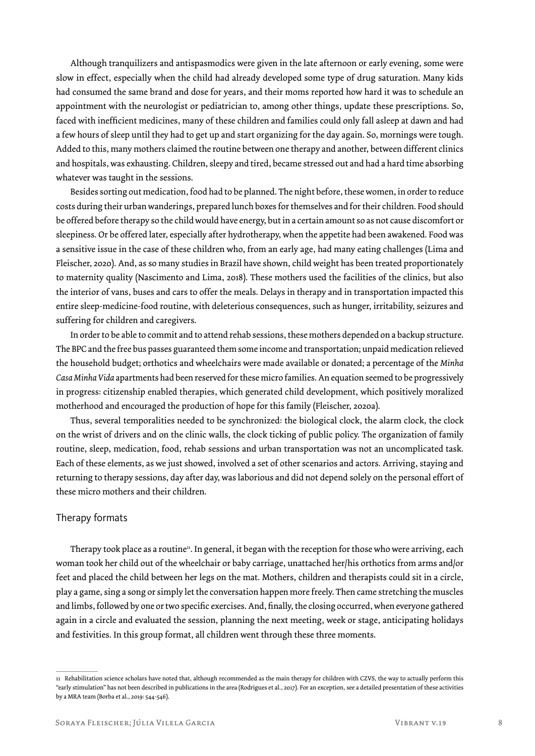Although tranquilizers and antispasmodics were given in the late afternoon or early evening, some were slow in effect, especially when the child had already developed some type of drug saturation. Many kids had consumed the same brand and dose for years, and their moms reported how hard it was to schedule an appointment with the neurologist or pediatrician to, among other things, update these prescriptions. So, faced with inefficient medicines, many of these children and families could only fall asleep at dawn and had a few hours of sleep until they had to get up and start organizing for the day again. So, mornings were tough. Added to this, many mothers claimed the routine between one therapy and another, between different clinics and hospitals, was exhausting. Children, sleepy and tired, became stressed out and had a hard time absorbing whatever was taught in the sessions.

Besides sorting out medication, food had to be planned. The night before, these women, in order to reduce costs during their urban wanderings, prepared lunch boxes for themselves and for their children. Food should be offered before therapy so the child would have energy, but in a certain amount so as not cause discomfort or sleepiness. Or be offered later, especially after hydrotherapy, when the appetite had been awakened. Food was a sensitive issue in the case of these children who, from an early age, had many eating challenges (Lima and Fleischer, 2020). And, as so many studies in Brazil have shown, child weight has been treated proportionately to maternity quality (Nascimento and Lima, 2018). These mothers used the facilities of the clinics, but also the interior of vans, buses and cars to offer the meals. Delays in therapy and in transportation impacted this entire sleep-medicine-food routine, with deleterious consequences, such as hunger, irritability, seizures and suffering for children and caregivers.

In order to be able to commit and to attend rehab sessions, these mothers depended on a backup structure. The BPC and the free bus passes guaranteed them some income and transportation; unpaid medication relieved the household budget; orthotics and wheelchairs were made available or donated; a percentage of the *Minha Casa Minha Vida* apartments had been reserved for these micro families. An equation seemed to be progressively in progress: citizenship enabled therapies, which generated child development, which positively moralized motherhood and encouraged the production of hope for this family (Fleischer, 2020a).

Thus, several temporalities needed to be synchronized: the biological clock, the alarm clock, the clock on the wrist of drivers and on the clinic walls, the clock ticking of public policy. The organization of family routine, sleep, medication, food, rehab sessions and urban transportation was not an uncomplicated task. Each of these elements, as we just showed, involved a set of other scenarios and actors. Arriving, staying and returning to therapy sessions, day after day, was laborious and did not depend solely on the personal effort of these micro mothers and their children.

#### Therapy formats

Therapy took place as a routine<sup>11</sup>. In general, it began with the reception for those who were arriving, each woman took her child out of the wheelchair or baby carriage, unattached her/his orthotics from arms and/or feet and placed the child between her legs on the mat. Mothers, children and therapists could sit in a circle, play a game, sing a song or simply let the conversation happen more freely. Then came stretching the muscles and limbs, followed by one or two specific exercises. And, finally, the closing occurred, when everyone gathered again in a circle and evaluated the session, planning the next meeting, week or stage, anticipating holidays and festivities. In this group format, all children went through these three moments.

<sup>11</sup> Rehabilitation science scholars have noted that, although recommended as the main therapy for children with CZVS, the way to actually perform this "early stimulation" has not been described in publications in the area (Rodrigues et al., 2017). For an exception, see a detailed presentation of these activities by a MRA team (Borba et al., 2019: 544-546).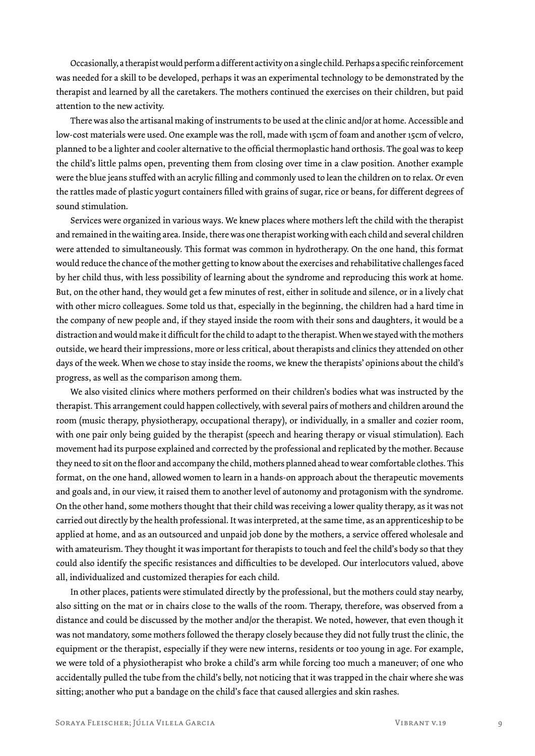Occasionally, a therapist would perform a different activity on a single child. Perhaps a specific reinforcement was needed for a skill to be developed, perhaps it was an experimental technology to be demonstrated by the therapist and learned by all the caretakers. The mothers continued the exercises on their children, but paid attention to the new activity.

There was also the artisanal making of instruments to be used at the clinic and/or at home. Accessible and low-cost materials were used. One example was the roll, made with 15cm of foam and another 15cm of velcro, planned to be a lighter and cooler alternative to the official thermoplastic hand orthosis. The goal was to keep the child's little palms open, preventing them from closing over time in a claw position. Another example were the blue jeans stuffed with an acrylic filling and commonly used to lean the children on to relax. Or even the rattles made of plastic yogurt containers filled with grains of sugar, rice or beans, for different degrees of sound stimulation.

Services were organized in various ways. We knew places where mothers left the child with the therapist and remained in the waiting area. Inside, there was one therapist working with each child and several children were attended to simultaneously. This format was common in hydrotherapy. On the one hand, this format would reduce the chance of the mother getting to know about the exercises and rehabilitative challenges faced by her child thus, with less possibility of learning about the syndrome and reproducing this work at home. But, on the other hand, they would get a few minutes of rest, either in solitude and silence, or in a lively chat with other micro colleagues. Some told us that, especially in the beginning, the children had a hard time in the company of new people and, if they stayed inside the room with their sons and daughters, it would be a distraction and would make it difficult for the child to adapt to the therapist. When we stayed with the mothers outside, we heard their impressions, more or less critical, about therapists and clinics they attended on other days of the week. When we chose to stay inside the rooms, we knew the therapists' opinions about the child's progress, as well as the comparison among them.

We also visited clinics where mothers performed on their children's bodies what was instructed by the therapist. This arrangement could happen collectively, with several pairs of mothers and children around the room (music therapy, physiotherapy, occupational therapy), or individually, in a smaller and cozier room, with one pair only being guided by the therapist (speech and hearing therapy or visual stimulation). Each movement had its purpose explained and corrected by the professional and replicated by the mother. Because they need to sit on the floor and accompany the child, mothers planned ahead to wear comfortable clothes. This format, on the one hand, allowed women to learn in a hands-on approach about the therapeutic movements and goals and, in our view, it raised them to another level of autonomy and protagonism with the syndrome. On the other hand, some mothers thought that their child was receiving a lower quality therapy, as it was not carried out directly by the health professional. It was interpreted, at the same time, as an apprenticeship to be applied at home, and as an outsourced and unpaid job done by the mothers, a service offered wholesale and with amateurism. They thought it was important for therapists to touch and feel the child's body so that they could also identify the specific resistances and difficulties to be developed. Our interlocutors valued, above all, individualized and customized therapies for each child.

In other places, patients were stimulated directly by the professional, but the mothers could stay nearby, also sitting on the mat or in chairs close to the walls of the room. Therapy, therefore, was observed from a distance and could be discussed by the mother and/or the therapist. We noted, however, that even though it was not mandatory, some mothers followed the therapy closely because they did not fully trust the clinic, the equipment or the therapist, especially if they were new interns, residents or too young in age. For example, we were told of a physiotherapist who broke a child's arm while forcing too much a maneuver; of one who accidentally pulled the tube from the child's belly, not noticing that it was trapped in the chair where she was sitting; another who put a bandage on the child's face that caused allergies and skin rashes.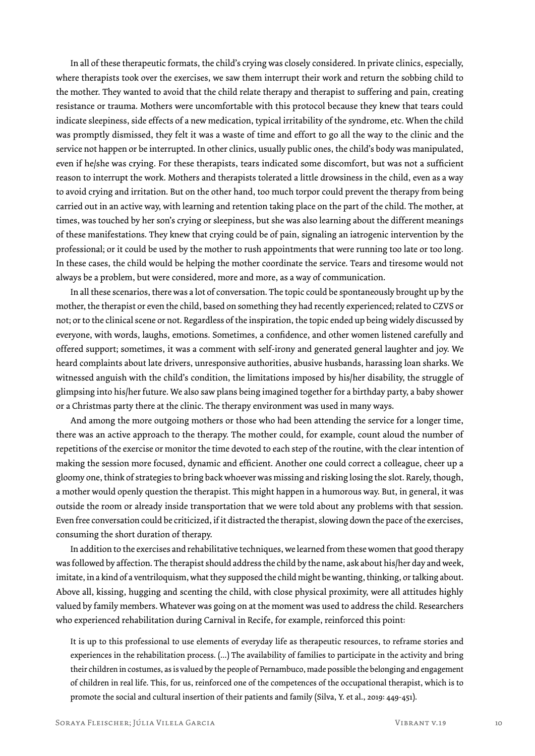In all of these therapeutic formats, the child's crying was closely considered. In private clinics, especially, where therapists took over the exercises, we saw them interrupt their work and return the sobbing child to the mother. They wanted to avoid that the child relate therapy and therapist to suffering and pain, creating resistance or trauma. Mothers were uncomfortable with this protocol because they knew that tears could indicate sleepiness, side effects of a new medication, typical irritability of the syndrome, etc. When the child was promptly dismissed, they felt it was a waste of time and effort to go all the way to the clinic and the service not happen or be interrupted. In other clinics, usually public ones, the child's body was manipulated, even if he/she was crying. For these therapists, tears indicated some discomfort, but was not a sufficient reason to interrupt the work. Mothers and therapists tolerated a little drowsiness in the child, even as a way to avoid crying and irritation. But on the other hand, too much torpor could prevent the therapy from being carried out in an active way, with learning and retention taking place on the part of the child. The mother, at times, was touched by her son's crying or sleepiness, but she was also learning about the different meanings of these manifestations. They knew that crying could be of pain, signaling an iatrogenic intervention by the professional; or it could be used by the mother to rush appointments that were running too late or too long. In these cases, the child would be helping the mother coordinate the service. Tears and tiresome would not always be a problem, but were considered, more and more, as a way of communication.

In all these scenarios, there was a lot of conversation. The topic could be spontaneously brought up by the mother, the therapist or even the child, based on something they had recently experienced; related to CZVS or not; or to the clinical scene or not. Regardless of the inspiration, the topic ended up being widely discussed by everyone, with words, laughs, emotions. Sometimes, a confidence, and other women listened carefully and offered support; sometimes, it was a comment with self-irony and generated general laughter and joy. We heard complaints about late drivers, unresponsive authorities, abusive husbands, harassing loan sharks. We witnessed anguish with the child's condition, the limitations imposed by his/her disability, the struggle of glimpsing into his/her future. We also saw plans being imagined together for a birthday party, a baby shower or a Christmas party there at the clinic. The therapy environment was used in many ways.

And among the more outgoing mothers or those who had been attending the service for a longer time, there was an active approach to the therapy. The mother could, for example, count aloud the number of repetitions of the exercise or monitor the time devoted to each step of the routine, with the clear intention of making the session more focused, dynamic and efficient. Another one could correct a colleague, cheer up a gloomy one, think of strategies to bring back whoever was missing and risking losing the slot. Rarely, though, a mother would openly question the therapist. This might happen in a humorous way. But, in general, it was outside the room or already inside transportation that we were told about any problems with that session. Even free conversation could be criticized, if it distracted the therapist, slowing down the pace of the exercises, consuming the short duration of therapy.

In addition to the exercises and rehabilitative techniques, we learned from these women that good therapy was followed by affection. The therapist should address the child by the name, ask about his/her day and week, imitate, in a kind of a ventriloquism, what they supposed the child might be wanting, thinking, or talking about. Above all, kissing, hugging and scenting the child, with close physical proximity, were all attitudes highly valued by family members. Whatever was going on at the moment was used to address the child. Researchers who experienced rehabilitation during Carnival in Recife, for example, reinforced this point:

It is up to this professional to use elements of everyday life as therapeutic resources, to reframe stories and experiences in the rehabilitation process. (...) The availability of families to participate in the activity and bring their children in costumes, as is valued by the people of Pernambuco, made possible the belonging and engagement of children in real life. This, for us, reinforced one of the competences of the occupational therapist, which is to promote the social and cultural insertion of their patients and family (Silva, Y. et al., 2019: 449-451).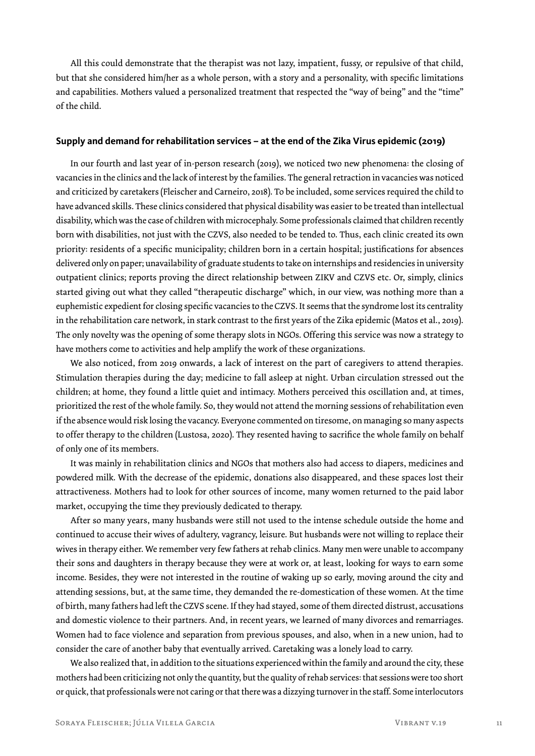All this could demonstrate that the therapist was not lazy, impatient, fussy, or repulsive of that child, but that she considered him/her as a whole person, with a story and a personality, with specific limitations and capabilities. Mothers valued a personalized treatment that respected the "way of being" and the "time" of the child.

#### **Supply and demand for rehabilitation services – at the end of the Zika Virus epidemic (2019)**

In our fourth and last year of in-person research (2019), we noticed two new phenomena: the closing of vacancies in the clinics and the lack of interest by the families. The general retraction in vacancies was noticed and criticized by caretakers (Fleischer and Carneiro, 2018). To be included, some services required the child to have advanced skills. These clinics considered that physical disability was easier to be treated than intellectual disability, which was the case of children with microcephaly. Some professionals claimed that children recently born with disabilities, not just with the CZVS, also needed to be tended to. Thus, each clinic created its own priority: residents of a specific municipality; children born in a certain hospital; justifications for absences delivered only on paper; unavailability of graduate students to take on internships and residencies in university outpatient clinics; reports proving the direct relationship between ZIKV and CZVS etc. Or, simply, clinics started giving out what they called "therapeutic discharge" which, in our view, was nothing more than a euphemistic expedient for closing specific vacancies to the CZVS. It seems that the syndrome lost its centrality in the rehabilitation care network, in stark contrast to the first years of the Zika epidemic (Matos et al., 2019). The only novelty was the opening of some therapy slots in NGOs. Offering this service was now a strategy to have mothers come to activities and help amplify the work of these organizations.

We also noticed, from 2019 onwards, a lack of interest on the part of caregivers to attend therapies. Stimulation therapies during the day; medicine to fall asleep at night. Urban circulation stressed out the children; at home, they found a little quiet and intimacy. Mothers perceived this oscillation and, at times, prioritized the rest of the whole family. So, they would not attend the morning sessions of rehabilitation even if the absence would risk losing the vacancy. Everyone commented on tiresome, on managing so many aspects to offer therapy to the children (Lustosa, 2020). They resented having to sacrifice the whole family on behalf of only one of its members.

It was mainly in rehabilitation clinics and NGOs that mothers also had access to diapers, medicines and powdered milk. With the decrease of the epidemic, donations also disappeared, and these spaces lost their attractiveness. Mothers had to look for other sources of income, many women returned to the paid labor market, occupying the time they previously dedicated to therapy.

After so many years, many husbands were still not used to the intense schedule outside the home and continued to accuse their wives of adultery, vagrancy, leisure. But husbands were not willing to replace their wives in therapy either. We remember very few fathers at rehab clinics. Many men were unable to accompany their sons and daughters in therapy because they were at work or, at least, looking for ways to earn some income. Besides, they were not interested in the routine of waking up so early, moving around the city and attending sessions, but, at the same time, they demanded the re-domestication of these women. At the time of birth, many fathers had left the CZVS scene. If they had stayed, some of them directed distrust, accusations and domestic violence to their partners. And, in recent years, we learned of many divorces and remarriages. Women had to face violence and separation from previous spouses, and also, when in a new union, had to consider the care of another baby that eventually arrived. Caretaking was a lonely load to carry.

We also realized that, in addition to the situations experienced within the family and around the city, these mothers had been criticizing not only the quantity, but the quality of rehab services: that sessions were too short or quick, that professionals were not caring or that there was a dizzying turnover in the staff. Some interlocutors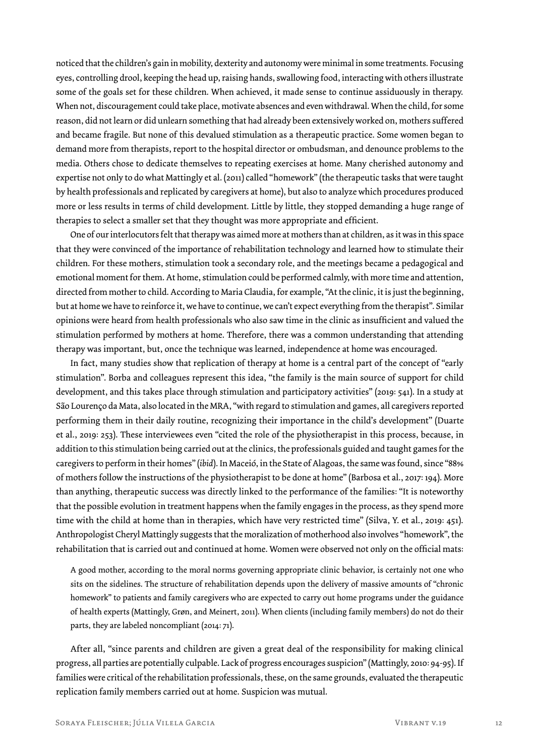noticed that the children's gain in mobility, dexterity and autonomy were minimal in some treatments. Focusing eyes, controlling drool, keeping the head up, raising hands, swallowing food, interacting with others illustrate some of the goals set for these children. When achieved, it made sense to continue assiduously in therapy. When not, discouragement could take place, motivate absences and even withdrawal. When the child, for some reason, did not learn or did unlearn something that had already been extensively worked on, mothers suffered and became fragile. But none of this devalued stimulation as a therapeutic practice. Some women began to demand more from therapists, report to the hospital director or ombudsman, and denounce problems to the media. Others chose to dedicate themselves to repeating exercises at home. Many cherished autonomy and expertise not only to do what Mattingly et al. (2011) called "homework" (the therapeutic tasks that were taught by health professionals and replicated by caregivers at home), but also to analyze which procedures produced more or less results in terms of child development. Little by little, they stopped demanding a huge range of therapies to select a smaller set that they thought was more appropriate and efficient.

One of our interlocutors felt that therapy was aimed more at mothers than at children, as it was in this space that they were convinced of the importance of rehabilitation technology and learned how to stimulate their children. For these mothers, stimulation took a secondary role, and the meetings became a pedagogical and emotional moment for them. At home, stimulation could be performed calmly, with more time and attention, directed from mother to child. According to Maria Claudia, for example, "At the clinic, it is just the beginning, but at home we have to reinforce it, we have to continue, we can't expect everything from the therapist". Similar opinions were heard from health professionals who also saw time in the clinic as insufficient and valued the stimulation performed by mothers at home. Therefore, there was a common understanding that attending therapy was important, but, once the technique was learned, independence at home was encouraged.

In fact, many studies show that replication of therapy at home is a central part of the concept of "early stimulation". Borba and colleagues represent this idea, "the family is the main source of support for child development, and this takes place through stimulation and participatory activities" (2019: 541). In a study at São Lourenço da Mata, also located in the MRA, "with regard to stimulation and games, all caregivers reported performing them in their daily routine, recognizing their importance in the child's development" (Duarte et al., 2019: 253). These interviewees even "cited the role of the physiotherapist in this process, because, in addition to this stimulation being carried out at the clinics, the professionals guided and taught games for the caregivers to perform in their homes" (*ibid*). In Maceió, in the State of Alagoas, the same was found, since "88% of mothers follow the instructions of the physiotherapist to be done at home" (Barbosa et al., 2017: 194). More than anything, therapeutic success was directly linked to the performance of the families: "It is noteworthy that the possible evolution in treatment happens when the family engages in the process, as they spend more time with the child at home than in therapies, which have very restricted time" (Silva, Y. et al., 2019: 451). Anthropologist Cheryl Mattingly suggests that the moralization of motherhood also involves "homework", the rehabilitation that is carried out and continued at home. Women were observed not only on the official mats:

A good mother, according to the moral norms governing appropriate clinic behavior, is certainly not one who sits on the sidelines. The structure of rehabilitation depends upon the delivery of massive amounts of "chronic homework" to patients and family caregivers who are expected to carry out home programs under the guidance of health experts (Mattingly, Grøn, and Meinert, 2011). When clients (including family members) do not do their parts, they are labeled noncompliant (2014: 71).

After all, "since parents and children are given a great deal of the responsibility for making clinical progress, all parties are potentially culpable. Lack of progress encourages suspicion" (Mattingly, 2010: 94-95). If families were critical of the rehabilitation professionals, these, on the same grounds, evaluated the therapeutic replication family members carried out at home. Suspicion was mutual.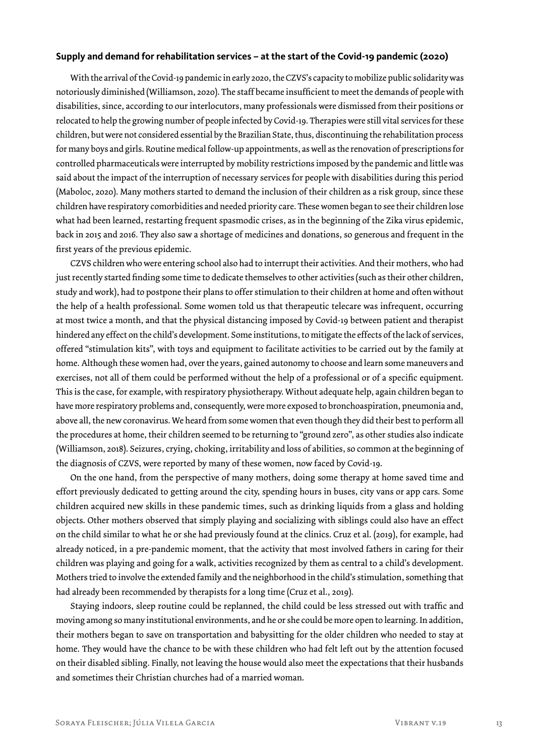#### **Supply and demand for rehabilitation services – at the start of the Covid-19 pandemic (2020)**

With the arrival of the Covid-19 pandemic in early 2020, the CZVS's capacity to mobilize public solidarity was notoriously diminished (Williamson, 2020). The staff became insufficient to meet the demands of people with disabilities, since, according to our interlocutors, many professionals were dismissed from their positions or relocated to help the growing number of people infected by Covid-19. Therapies were still vital services for these children, but were not considered essential by the Brazilian State, thus, discontinuing the rehabilitation process for many boys and girls. Routine medical follow-up appointments, as well as the renovation of prescriptions for controlled pharmaceuticals were interrupted by mobility restrictions imposed by the pandemic and little was said about the impact of the interruption of necessary services for people with disabilities during this period (Maboloc, 2020). Many mothers started to demand the inclusion of their children as a risk group, since these children have respiratory comorbidities and needed priority care. These women began to see their children lose what had been learned, restarting frequent spasmodic crises, as in the beginning of the Zika virus epidemic, back in 2015 and 2016. They also saw a shortage of medicines and donations, so generous and frequent in the first years of the previous epidemic.

CZVS children who were entering school also had to interrupt their activities. And their mothers, who had just recently started finding some time to dedicate themselves to other activities (such as their other children, study and work), had to postpone their plans to offer stimulation to their children at home and often without the help of a health professional. Some women told us that therapeutic telecare was infrequent, occurring at most twice a month, and that the physical distancing imposed by Covid-19 between patient and therapist hindered any effect on the child's development. Some institutions, to mitigate the effects of the lack of services, offered "stimulation kits", with toys and equipment to facilitate activities to be carried out by the family at home. Although these women had, over the years, gained autonomy to choose and learn some maneuvers and exercises, not all of them could be performed without the help of a professional or of a specific equipment. This is the case, for example, with respiratory physiotherapy. Without adequate help, again children began to have more respiratory problems and, consequently, were more exposed to bronchoaspiration, pneumonia and, above all, the new coronavirus. We heard from some women that even though they did their best to perform all the procedures at home, their children seemed to be returning to "ground zero", as other studies also indicate (Williamson, 2018). Seizures, crying, choking, irritability and loss of abilities, so common at the beginning of the diagnosis of CZVS, were reported by many of these women, now faced by Covid-19.

On the one hand, from the perspective of many mothers, doing some therapy at home saved time and effort previously dedicated to getting around the city, spending hours in buses, city vans or app cars. Some children acquired new skills in these pandemic times, such as drinking liquids from a glass and holding objects. Other mothers observed that simply playing and socializing with siblings could also have an effect on the child similar to what he or she had previously found at the clinics. Cruz et al. (2019), for example, had already noticed, in a pre-pandemic moment, that the activity that most involved fathers in caring for their children was playing and going for a walk, activities recognized by them as central to a child's development. Mothers tried to involve the extended family and the neighborhood in the child's stimulation, something that had already been recommended by therapists for a long time (Cruz et al., 2019).

Staying indoors, sleep routine could be replanned, the child could be less stressed out with traffic and moving among so many institutional environments, and he or she could be more open to learning. In addition, their mothers began to save on transportation and babysitting for the older children who needed to stay at home. They would have the chance to be with these children who had felt left out by the attention focused on their disabled sibling. Finally, not leaving the house would also meet the expectations that their husbands and sometimes their Christian churches had of a married woman.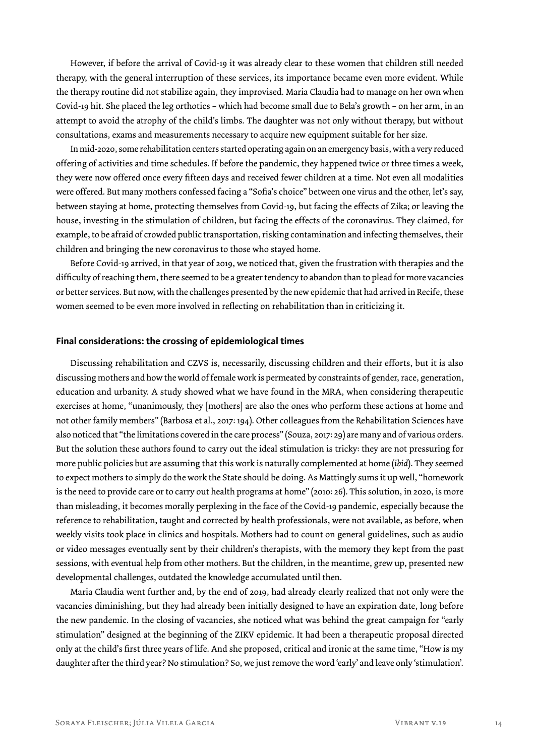However, if before the arrival of Covid-19 it was already clear to these women that children still needed therapy, with the general interruption of these services, its importance became even more evident. While the therapy routine did not stabilize again, they improvised. Maria Claudia had to manage on her own when Covid-19 hit. She placed the leg orthotics – which had become small due to Bela's growth – on her arm, in an attempt to avoid the atrophy of the child's limbs. The daughter was not only without therapy, but without consultations, exams and measurements necessary to acquire new equipment suitable for her size.

In mid-2020, some rehabilitation centers started operating again on an emergency basis, with a very reduced offering of activities and time schedules. If before the pandemic, they happened twice or three times a week, they were now offered once every fifteen days and received fewer children at a time. Not even all modalities were offered. But many mothers confessed facing a "Sofia's choice" between one virus and the other, let's say, between staying at home, protecting themselves from Covid-19, but facing the effects of Zika; or leaving the house, investing in the stimulation of children, but facing the effects of the coronavirus. They claimed, for example, to be afraid of crowded public transportation, risking contamination and infecting themselves, their children and bringing the new coronavirus to those who stayed home.

Before Covid-19 arrived, in that year of 2019, we noticed that, given the frustration with therapies and the difficulty of reaching them, there seemed to be a greater tendency to abandon than to plead for more vacancies or better services. But now, with the challenges presented by the new epidemic that had arrived in Recife, these women seemed to be even more involved in reflecting on rehabilitation than in criticizing it.

#### **Final considerations: the crossing of epidemiological times**

Discussing rehabilitation and CZVS is, necessarily, discussing children and their efforts, but it is also discussing mothers and how the world of female work is permeated by constraints of gender, race, generation, education and urbanity. A study showed what we have found in the MRA, when considering therapeutic exercises at home, "unanimously, they [mothers] are also the ones who perform these actions at home and not other family members" (Barbosa et al., 2017: 194). Other colleagues from the Rehabilitation Sciences have also noticed that "the limitations covered in the care process" (Souza, 2017: 29) are many and of various orders. But the solution these authors found to carry out the ideal stimulation is tricky: they are not pressuring for more public policies but are assuming that this work is naturally complemented at home (*ibid*). They seemed to expect mothers to simply do the work the State should be doing. As Mattingly sums it up well, "homework is the need to provide care or to carry out health programs at home" (2010: 26). This solution, in 2020, is more than misleading, it becomes morally perplexing in the face of the Covid-19 pandemic, especially because the reference to rehabilitation, taught and corrected by health professionals, were not available, as before, when weekly visits took place in clinics and hospitals. Mothers had to count on general guidelines, such as audio or video messages eventually sent by their children's therapists, with the memory they kept from the past sessions, with eventual help from other mothers. But the children, in the meantime, grew up, presented new developmental challenges, outdated the knowledge accumulated until then.

Maria Claudia went further and, by the end of 2019, had already clearly realized that not only were the vacancies diminishing, but they had already been initially designed to have an expiration date, long before the new pandemic. In the closing of vacancies, she noticed what was behind the great campaign for "early stimulation" designed at the beginning of the ZIKV epidemic. It had been a therapeutic proposal directed only at the child's first three years of life. And she proposed, critical and ironic at the same time, "How is my daughter after the third year? No stimulation? So, we just remove the word 'early' and leave only 'stimulation'.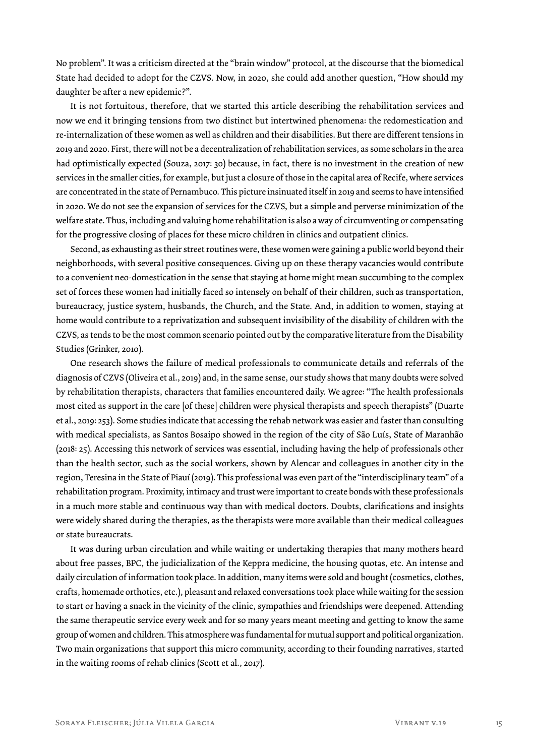No problem". It was a criticism directed at the "brain window" protocol, at the discourse that the biomedical State had decided to adopt for the CZVS. Now, in 2020, she could add another question, "How should my daughter be after a new epidemic?".

It is not fortuitous, therefore, that we started this article describing the rehabilitation services and now we end it bringing tensions from two distinct but intertwined phenomena: the redomestication and re-internalization of these women as well as children and their disabilities. But there are different tensions in 2019 and 2020. First, there will not be a decentralization of rehabilitation services, as some scholars in the area had optimistically expected (Souza, 2017: 30) because, in fact, there is no investment in the creation of new services in the smaller cities, for example, but just a closure of those in the capital area of Recife, where services are concentrated in the state of Pernambuco. This picture insinuated itself in 2019 and seems to have intensified in 2020. We do not see the expansion of services for the CZVS, but a simple and perverse minimization of the welfare state. Thus, including and valuing home rehabilitation is also a way of circumventing or compensating for the progressive closing of places for these micro children in clinics and outpatient clinics.

Second, as exhausting as their street routines were, these women were gaining a public world beyond their neighborhoods, with several positive consequences. Giving up on these therapy vacancies would contribute to a convenient neo-domestication in the sense that staying at home might mean succumbing to the complex set of forces these women had initially faced so intensely on behalf of their children, such as transportation, bureaucracy, justice system, husbands, the Church, and the State. And, in addition to women, staying at home would contribute to a reprivatization and subsequent invisibility of the disability of children with the CZVS, as tends to be the most common scenario pointed out by the comparative literature from the Disability Studies (Grinker, 2010).

One research shows the failure of medical professionals to communicate details and referrals of the diagnosis of CZVS (Oliveira et al., 2019) and, in the same sense, our study shows that many doubts were solved by rehabilitation therapists, characters that families encountered daily. We agree: "The health professionals most cited as support in the care [of these] children were physical therapists and speech therapists" (Duarte et al., 2019: 253). Some studies indicate that accessing the rehab network was easier and faster than consulting with medical specialists, as Santos Bosaipo showed in the region of the city of São Luís, State of Maranhão (2018: 25). Accessing this network of services was essential, including having the help of professionals other than the health sector, such as the social workers, shown by Alencar and colleagues in another city in the region, Teresina in the State of Piauí (2019). This professional was even part of the "interdisciplinary team" of a rehabilitation program. Proximity, intimacy and trust were important to create bonds with these professionals in a much more stable and continuous way than with medical doctors. Doubts, clarifications and insights were widely shared during the therapies, as the therapists were more available than their medical colleagues or state bureaucrats.

It was during urban circulation and while waiting or undertaking therapies that many mothers heard about free passes, BPC, the judicialization of the Keppra medicine, the housing quotas, etc. An intense and daily circulation of information took place. In addition, many items were sold and bought (cosmetics, clothes, crafts, homemade orthotics, etc.), pleasant and relaxed conversations took place while waiting for the session to start or having a snack in the vicinity of the clinic, sympathies and friendships were deepened. Attending the same therapeutic service every week and for so many years meant meeting and getting to know the same group of women and children. This atmosphere was fundamental for mutual support and political organization. Two main organizations that support this micro community, according to their founding narratives, started in the waiting rooms of rehab clinics (Scott et al., 2017).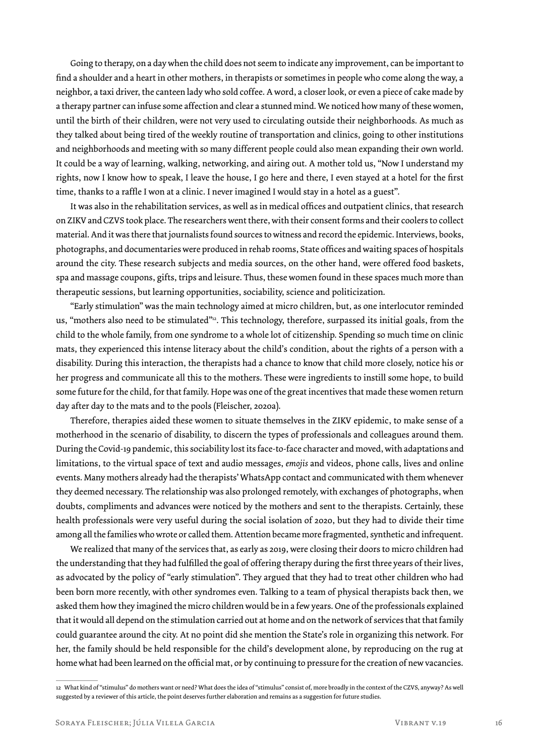Going to therapy, on a day when the child does not seem to indicate any improvement, can be important to find a shoulder and a heart in other mothers, in therapists or sometimes in people who come along the way, a neighbor, a taxi driver, the canteen lady who sold coffee. A word, a closer look, or even a piece of cake made by a therapy partner can infuse some affection and clear a stunned mind. We noticed how many of these women, until the birth of their children, were not very used to circulating outside their neighborhoods. As much as they talked about being tired of the weekly routine of transportation and clinics, going to other institutions and neighborhoods and meeting with so many different people could also mean expanding their own world. It could be a way of learning, walking, networking, and airing out. A mother told us, "Now I understand my rights, now I know how to speak, I leave the house, I go here and there, I even stayed at a hotel for the first time, thanks to a raffle I won at a clinic. I never imagined I would stay in a hotel as a guest".

It was also in the rehabilitation services, as well as in medical offices and outpatient clinics, that research on ZIKV and CZVS took place. The researchers went there, with their consent forms and their coolers to collect material. And it was there that journalists found sources to witness and record the epidemic. Interviews, books, photographs, and documentaries were produced in rehab rooms, State offices and waiting spaces of hospitals around the city. These research subjects and media sources, on the other hand, were offered food baskets, spa and massage coupons, gifts, trips and leisure. Thus, these women found in these spaces much more than therapeutic sessions, but learning opportunities, sociability, science and politicization.

"Early stimulation" was the main technology aimed at micro children, but, as one interlocutor reminded us, "mothers also need to be stimulated"<sup>12</sup>. This technology, therefore, surpassed its initial goals, from the child to the whole family, from one syndrome to a whole lot of citizenship. Spending so much time on clinic mats, they experienced this intense literacy about the child's condition, about the rights of a person with a disability. During this interaction, the therapists had a chance to know that child more closely, notice his or her progress and communicate all this to the mothers. These were ingredients to instill some hope, to build some future for the child, for that family. Hope was one of the great incentives that made these women return day after day to the mats and to the pools (Fleischer, 2020a).

Therefore, therapies aided these women to situate themselves in the ZIKV epidemic, to make sense of a motherhood in the scenario of disability, to discern the types of professionals and colleagues around them. During the Covid-19 pandemic, this sociability lost its face-to-face character and moved, with adaptations and limitations, to the virtual space of text and audio messages, *emojis* and videos, phone calls, lives and online events. Many mothers already had the therapists' WhatsApp contact and communicated with them whenever they deemed necessary. The relationship was also prolonged remotely, with exchanges of photographs, when doubts, compliments and advances were noticed by the mothers and sent to the therapists. Certainly, these health professionals were very useful during the social isolation of 2020, but they had to divide their time among all the families who wrote or called them. Attention became more fragmented, synthetic and infrequent.

We realized that many of the services that, as early as 2019, were closing their doors to micro children had the understanding that they had fulfilled the goal of offering therapy during the first three years of their lives, as advocated by the policy of "early stimulation". They argued that they had to treat other children who had been born more recently, with other syndromes even. Talking to a team of physical therapists back then, we asked them how they imagined the micro children would be in a few years. One of the professionals explained that it would all depend on the stimulation carried out at home and on the network of services that that family could guarantee around the city. At no point did she mention the State's role in organizing this network. For her, the family should be held responsible for the child's development alone, by reproducing on the rug at home what had been learned on the official mat, or by continuing to pressure for the creation of new vacancies.

<sup>12</sup> What kind of "stimulus" do mothers want or need? What does the idea of "stimulus" consist of, more broadly in the context of the CZVS, anyway? As well suggested by a reviewer of this article, the point deserves further elaboration and remains as a suggestion for future studies.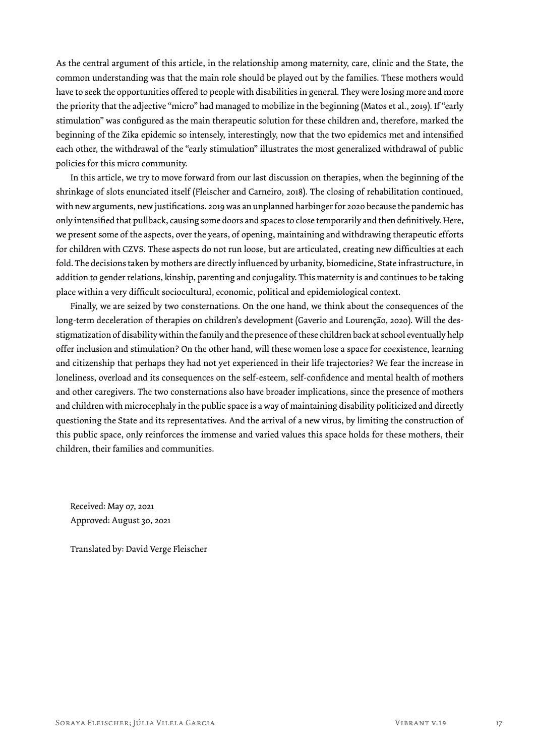As the central argument of this article, in the relationship among maternity, care, clinic and the State, the common understanding was that the main role should be played out by the families. These mothers would have to seek the opportunities offered to people with disabilities in general. They were losing more and more the priority that the adjective "micro" had managed to mobilize in the beginning (Matos et al., 2019). If "early stimulation" was configured as the main therapeutic solution for these children and, therefore, marked the beginning of the Zika epidemic so intensely, interestingly, now that the two epidemics met and intensified each other, the withdrawal of the "early stimulation" illustrates the most generalized withdrawal of public policies for this micro community.

In this article, we try to move forward from our last discussion on therapies, when the beginning of the shrinkage of slots enunciated itself (Fleischer and Carneiro, 2018). The closing of rehabilitation continued, with new arguments, new justifications. 2019 was an unplanned harbinger for 2020 because the pandemic has only intensified that pullback, causing some doors and spaces to close temporarily and then definitively. Here, we present some of the aspects, over the years, of opening, maintaining and withdrawing therapeutic efforts for children with CZVS. These aspects do not run loose, but are articulated, creating new difficulties at each fold. The decisions taken by mothers are directly influenced by urbanity, biomedicine, State infrastructure, in addition to gender relations, kinship, parenting and conjugality. This maternity is and continues to be taking place within a very difficult sociocultural, economic, political and epidemiological context.

Finally, we are seized by two consternations. On the one hand, we think about the consequences of the long-term deceleration of therapies on children's development (Gaverio and Lourenção, 2020). Will the desstigmatization of disability within the family and the presence of these children back at school eventually help offer inclusion and stimulation? On the other hand, will these women lose a space for coexistence, learning and citizenship that perhaps they had not yet experienced in their life trajectories? We fear the increase in loneliness, overload and its consequences on the self-esteem, self-confidence and mental health of mothers and other caregivers. The two consternations also have broader implications, since the presence of mothers and children with microcephaly in the public space is a way of maintaining disability politicized and directly questioning the State and its representatives. And the arrival of a new virus, by limiting the construction of this public space, only reinforces the immense and varied values this space holds for these mothers, their children, their families and communities.

Received: May 07, 2021 Approved: August 30, 2021

Translated by: David Verge Fleischer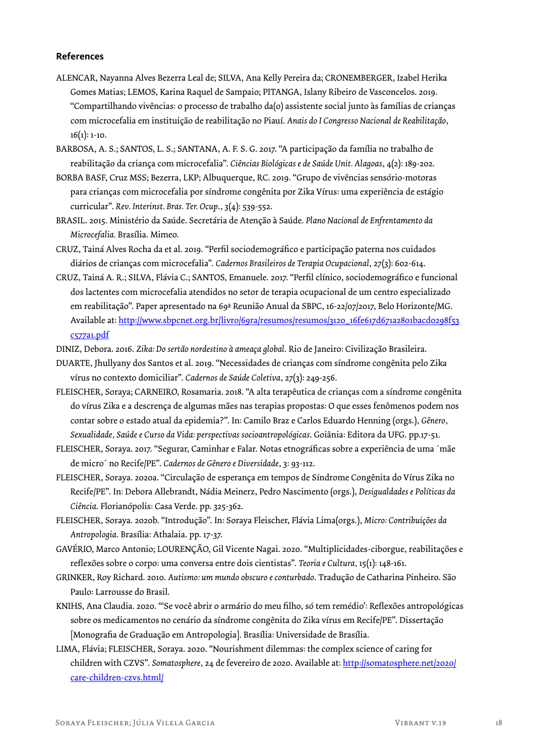#### **References**

- ALENCAR, Nayanna Alves Bezerra Leal de; SILVA, Ana Kelly Pereira da; CRONEMBERGER, Izabel Herika Gomes Matias; LEMOS, Karina Raquel de Sampaio; PITANGA, Islany Ribeiro de Vasconcelos. 2019. "Compartilhando vivências: o processo de trabalho da(o) assistente social junto às famílias de crianças com microcefalia em instituição de reabilitação no Piauí. *Anais do I Congresso Nacional de Reabilitação*,  $16(1): 1-10.$
- BARBOSA, A. S.; SANTOS, L. S.; SANTANA, A. F. S. G. 2017. "A participação da família no trabalho de reabilitação da criança com microcefalia". *Ciências Biológicas e de Saúde Unit. Alagoas*, 4(2): 189-202.
- BORBA BASF, Cruz MSS; Bezerra, LKP; Albuquerque, RC. 2019. "Grupo de vivências sensório-motoras para crianças com microcefalia por síndrome congênita por Zika Vírus: uma experiência de estágio curricular". *Rev. Interinst. Bras. Ter. Ocup*., 3(4): 539-552.
- BRASIL. 2015. Ministério da Saúde. Secretária de Atenção à Saúde. *Plano Nacional de Enfrentamento da Microcefalia.* Brasília. Mimeo.
- CRUZ, Tainá Alves Rocha da et al. 2019. "Perfil sociodemográfico e participação paterna nos cuidados diários de crianças com microcefalia". *Cadernos Brasileiros de Terapia Ocupacional,* 27(3): 602-614.
- CRUZ, Tainá A. R.; SILVA, Flávia C.; SANTOS, Emanuele. 2017. "Perfil clínico, sociodemográfico e funcional dos lactentes com microcefalia atendidos no setor de terapia ocupacional de um centro especializado em reabilitação". Paper apresentado na 69ª Reunião Anual da SBPC, 16-22/07/2017, Belo Horizonte/MG. Available at: http://www.sbpcnet.org.br/livro/69ra/resumos/resumos/3120\_16fe617d671a2801bacd0298f53 c577a1.pdf
- DINIZ, Debora. 2016. *Zika: Do sertão nordestino à ameaça global*. Rio de Janeiro: Civilização Brasileira.
- DUARTE, Jhullyany dos Santos et al. 2019. "Necessidades de crianças com síndrome congênita pelo Zika vírus no contexto domiciliar". *Cadernos de Saúde Coletiva*, 27(3): 249-256.
- FLEISCHER, Soraya; CARNEIRO, Rosamaria. 2018. "A alta terapêutica de crianças com a síndrome congênita do vírus Zika e a descrença de algumas mães nas terapias propostas: O que esses fenômenos podem nos contar sobre o estado atual da epidemia?". In: Camilo Braz e Carlos Eduardo Henning (orgs.), *Gênero, Sexualidade, Saúde e Curso da Vida: perspectivas socioantropológicas*. Goiânia: Editora da UFG. pp.17-51.
- FLEISCHER, Soraya. 2017. "Segurar, Caminhar e Falar. Notas etnográficas sobre a experiência de uma ´mãe de micro´ no Recife/PE". *Cadernos de Gênero e Diversidade*, 3: 93-112.
- FLEISCHER, Soraya. 2020a. "Circulação de esperança em tempos de Síndrome Congênita do Vírus Zika no Recife/PE". In: Debora Allebrandt, Nádia Meinerz, Pedro Nascimento (orgs.), *Desigualdades e Políticas da Ciência*. Florianópolis: Casa Verde. pp. 325-362.
- FLEISCHER, Soraya. 2020b. "Introdução". In: Soraya Fleischer, Flávia Lima(orgs.), *Micro: Contribuições da Antropologia*. Brasília: Athalaia. pp. 17-37.
- GAVÉRIO, Marco Antonio; LOURENÇÃO, Gil Vicente Nagai. 2020. "Multiplicidades-ciborgue, reabilitações e reflexões sobre o corpo: uma conversa entre dois cientistas". *Teoria e Cultura,* 15(1): 148-161.
- GRINKER, Roy Richard. 2010. *Autismo: um mundo obscuro e conturbado*. Tradução de Catharina Pinheiro. São Paulo: Larrousse do Brasil.
- KNIHS, Ana Claudia. 2020. "'Se você abrir o armário do meu filho, só tem remédio': Reflexões antropológicas sobre os medicamentos no cenário da síndrome congênita do Zika vírus em Recife/PE". Dissertação [Monografia de Graduação em Antropologia]. Brasília: Universidade de Brasília.
- LIMA, Flávia; FLEISCHER, Soraya. 2020. "Nourishment dilemmas: the complex science of caring for children with CZVS". *Somatosphere*, 24 de fevereiro de 2020. Available at: http://somatosphere.net/2020/ care-children-czvs.html/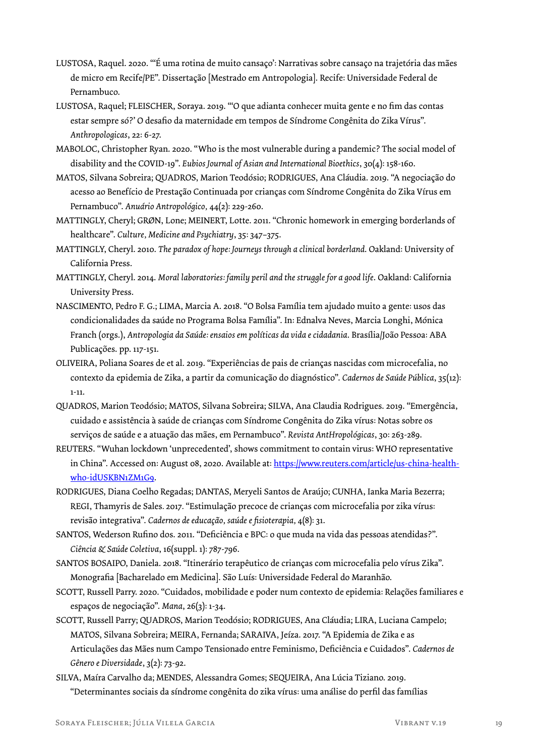- LUSTOSA, Raquel. 2020. "'É uma rotina de muito cansaço': Narrativas sobre cansaço na trajetória das mães de micro em Recife/PE". Dissertação [Mestrado em Antropologia]. Recife: Universidade Federal de Pernambuco.
- LUSTOSA, Raquel; FLEISCHER, Soraya. 2019. "'O que adianta conhecer muita gente e no fim das contas estar sempre só?' O desafio da maternidade em tempos de Síndrome Congênita do Zika Vírus". *Anthropologicas*, 22: 6-27.
- MABOLOC, Christopher Ryan. 2020. "Who is the most vulnerable during a pandemic? The social model of disability and the COVID-19". *Eubios Journal of Asian and International Bioethics*, 30(4): 158-160.
- MATOS, Silvana Sobreira; QUADROS, Marion Teodósio; RODRIGUES, Ana Cláudia. 2019. "A negociação do acesso ao Benefício de Prestação Continuada por crianças com Síndrome Congênita do Zika Vírus em Pernambuco". *Anuário Antropológico,* 44(2): 229-260.
- MATTINGLY, Cheryl; GRØN, Lone; MEINERT, Lotte. 2011. "Chronic homework in emerging borderlands of healthcare". *Culture, Medicine and Psychiatry*, 35: 347–375.
- MATTINGLY, Cheryl. 2010. *The paradox of hope: Journeys through a clinical borderland*. Oakland: University of California Press.
- MATTINGLY, Cheryl. 2014. *Moral laboratories: family peril and the struggle for a good life*. Oakland: California University Press.
- NASCIMENTO, Pedro F. G.; LIMA, Marcia A. 2018. "O Bolsa Família tem ajudado muito a gente: usos das condicionalidades da saúde no Programa Bolsa Família". In: Ednalva Neves, Marcia Longhi, Mónica Franch (orgs.), *Antropologia da Saúde: ensaios em políticas da vida e cidadania*. Brasília/João Pessoa: ABA Publicações. pp. 117-151.
- OLIVEIRA, Poliana Soares de et al. 2019. "Experiências de pais de crianças nascidas com microcefalia, no contexto da epidemia de Zika, a partir da comunicação do diagnóstico". *Cadernos de Saúde Pública*, 35(12): 1-11.
- QUADROS, Marion Teodósio; MATOS, Silvana Sobreira; SILVA, Ana Claudia Rodrigues. 2019. "Emergência, cuidado e assistência à saúde de crianças com Síndrome Congênita do Zika vírus: Notas sobre os serviços de saúde e a atuação das mães, em Pernambuco". *Revista AntHropológicas*, 30: 263-289.
- REUTERS. "Wuhan lockdown 'unprecedented', shows commitment to contain virus: WHO representative in China". Accessed on: August 08, 2020. Available at: https://www.reuters.com/article/us-china-healthwho-idUSKBN1ZM1G9.
- RODRIGUES, Diana Coelho Regadas; DANTAS, Meryeli Santos de Araújo; CUNHA, Ianka Maria Bezerra; REGI, Thamyris de Sales*.* 2017*.* "Estimulação precoce de crianças com microcefalia por zika vírus: revisão integrativa". *Cadernos de educação, saúde e fisioterapia,* 4(8): 31.
- SANTOS, Wederson Rufino dos. 2011. "Deficiência e BPC: o que muda na vida das pessoas atendidas?". *Ciência & Saúde Coletiva*, 16(suppl. 1): 787-796.
- SANTOS BOSAIPO, Daniela. 2018. "Itinerário terapêutico de crianças com microcefalia pelo vírus Zika". Monografia [Bacharelado em Medicina]. São Luís: Universidade Federal do Maranhão.
- SCOTT, Russell Parry. 2020. "Cuidados, mobilidade e poder num contexto de epidemia: Relações familiares e espaços de negociação". *Mana*, 26(3): 1-34.
- SCOTT, Russell Parry; QUADROS, Marion Teodósio; RODRIGUES, Ana Cláudia; LIRA, Luciana Campelo; MATOS, Silvana Sobreira; MEIRA, Fernanda; SARAIVA, Jeíza. 2017. "A Epidemia de Zika e as Articulações das Mães num Campo Tensionado entre Feminismo, Deficiência e Cuidados". *Cadernos de Gênero e Diversidade*, 3(2): 73-92.
- SILVA, Maíra Carvalho da; MENDES, Alessandra Gomes; SEQUEIRA, Ana Lúcia Tiziano. 2019. "Determinantes sociais da síndrome congênita do zika vírus: uma análise do perfil das famílias